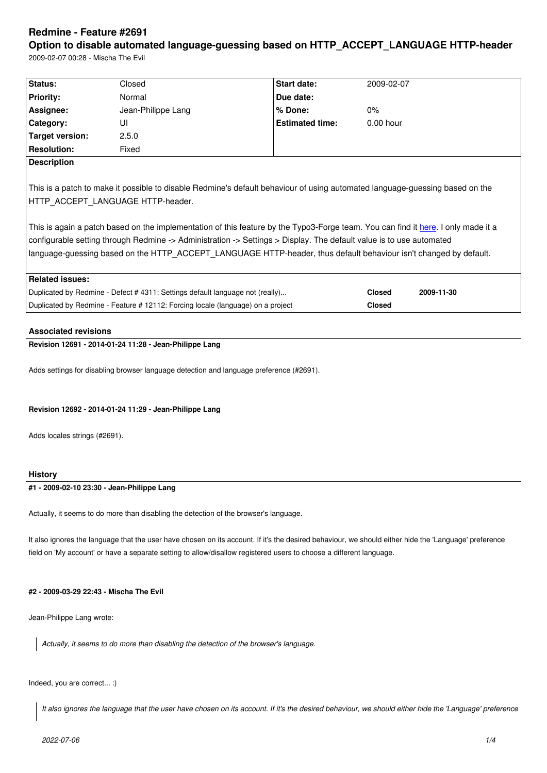### **Option to disable automated language-guessing based on HTTP\_ACCEPT\_LANGUAGE HTTP-header**

2009-02-07 00:28 - Mischa The Evil

| Status:                | Closed                                                                                                                                                                                                                                                                                                                                                                                                             | <b>Start date:</b>     | 2009-02-07    |            |
|------------------------|--------------------------------------------------------------------------------------------------------------------------------------------------------------------------------------------------------------------------------------------------------------------------------------------------------------------------------------------------------------------------------------------------------------------|------------------------|---------------|------------|
| <b>Priority:</b>       | Normal                                                                                                                                                                                                                                                                                                                                                                                                             | Due date:              |               |            |
| Assignee:              | Jean-Philippe Lang                                                                                                                                                                                                                                                                                                                                                                                                 | % Done:                | $0\%$         |            |
| Category:              | UI                                                                                                                                                                                                                                                                                                                                                                                                                 | <b>Estimated time:</b> | $0.00$ hour   |            |
| <b>Target version:</b> | 2.5.0                                                                                                                                                                                                                                                                                                                                                                                                              |                        |               |            |
| <b>Resolution:</b>     | Fixed                                                                                                                                                                                                                                                                                                                                                                                                              |                        |               |            |
| <b>Description</b>     |                                                                                                                                                                                                                                                                                                                                                                                                                    |                        |               |            |
|                        | This is a patch to make it possible to disable Redmine's default behaviour of using automated language-guessing based on the                                                                                                                                                                                                                                                                                       |                        |               |            |
|                        | HTTP ACCEPT LANGUAGE HTTP-header.<br>This is again a patch based on the implementation of this feature by the Typo3-Forge team. You can find it here. I only made it a<br>configurable setting through Redmine -> Administration -> Settings > Display. The default value is to use automated<br>language-guessing based on the HTTP ACCEPT LANGUAGE HTTP-header, thus default behaviour isn't changed by default. |                        |               |            |
| <b>Related issues:</b> |                                                                                                                                                                                                                                                                                                                                                                                                                    |                        |               |            |
|                        | Duplicated by Redmine - Defect #4311: Settings default language not (really)                                                                                                                                                                                                                                                                                                                                       |                        | <b>Closed</b> | 2009-11-30 |

### **Associated revisions**

**Revision 12691 - 2014-01-24 11:28 - Jean-Philippe Lang**

Adds settings for disabling browser language detection and language preference (#2691).

#### **Revision 12692 - 2014-01-24 11:29 - Jean-Philippe Lang**

Adds locales strings (#2691).

#### **History**

# **#1 - 2009-02-10 23:30 - Jean-Philippe Lang**

Actually, it seems to do more than disabling the detection of the browser's language.

It also ignores the language that the user have chosen on its account. If it's the desired behaviour, we should either hide the 'Language' preference field on 'My account' or have a separate setting to allow/disallow registered users to choose a different language.

# **#2 - 2009-03-29 22:43 - Mischa The Evil**

Jean-Philippe Lang wrote:

*Actually, it seems to do more than disabling the detection of the browser's language.*

## Indeed, you are correct... :)

*It also ignores the language that the user have chosen on its account. If it's the desired behaviour, we should either hide the 'Language' preference*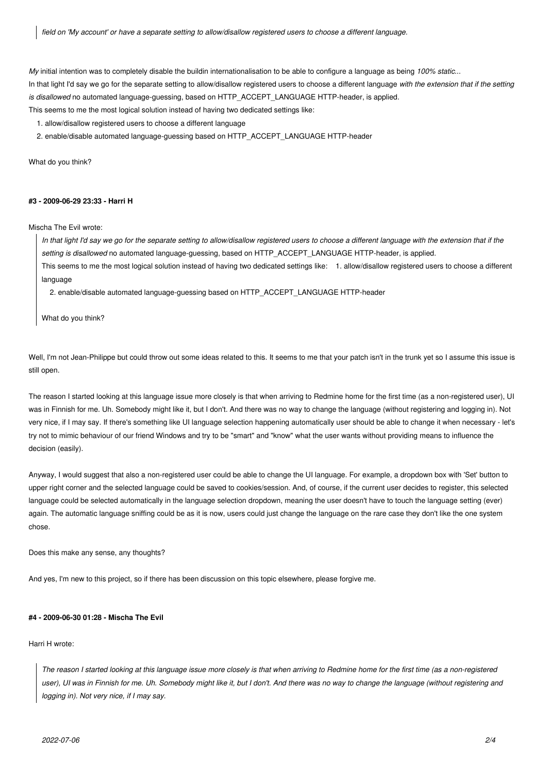*field on 'My account' or have a separate setting to allow/disallow registered users to choose a different language.*

*My* initial intention was to completely disable the buildin internationalisation to be able to configure a language as being *100% static*... In that light I'd say we go for the separate setting to allow/disallow registered users to choose a different language *with the extension that if the setting* is disallowed no automated language-guessing, based on HTTP\_ACCEPT\_LANGUAGE HTTP-header, is applied.

This seems to me the most logical solution instead of having two dedicated settings like:

1. allow/disallow registered users to choose a different language

2. enable/disable automated language-guessing based on HTTP\_ACCEPT\_LANGUAGE HTTP-header

What do you think?

### **#3 - 2009-06-29 23:33 - Harri H**

Mischa The Evil wrote:

*In that light I'd say we go for the separate setting to allow/disallow registered users to choose a different language with the extension that if the setting is disallowed* no automated language-guessing, based on HTTP\_ACCEPT\_LANGUAGE HTTP-header, is applied.

This seems to me the most logical solution instead of having two dedicated settings like: 1. allow/disallow registered users to choose a different language

2. enable/disable automated language-guessing based on HTTP\_ACCEPT\_LANGUAGE HTTP-header

What do you think?

Well, I'm not Jean-Philippe but could throw out some ideas related to this. It seems to me that your patch isn't in the trunk yet so I assume this issue is still open.

The reason I started looking at this language issue more closely is that when arriving to Redmine home for the first time (as a non-registered user), UI was in Finnish for me. Uh. Somebody might like it, but I don't. And there was no way to change the language (without registering and logging in). Not very nice, if I may say. If there's something like UI language selection happening automatically user should be able to change it when necessary - let's try not to mimic behaviour of our friend Windows and try to be "smart" and "know" what the user wants without providing means to influence the decision (easily).

Anyway, I would suggest that also a non-registered user could be able to change the UI language. For example, a dropdown box with 'Set' button to upper right corner and the selected language could be saved to cookies/session. And, of course, if the current user decides to register, this selected language could be selected automatically in the language selection dropdown, meaning the user doesn't have to touch the language setting (ever) again. The automatic language sniffing could be as it is now, users could just change the language on the rare case they don't like the one system chose.

Does this make any sense, any thoughts?

And yes, I'm new to this project, so if there has been discussion on this topic elsewhere, please forgive me.

### **#4 - 2009-06-30 01:28 - Mischa The Evil**

#### Harri H wrote:

*The reason I started looking at this language issue more closely is that when arriving to Redmine home for the first time (as a non-registered user), UI was in Finnish for me. Uh. Somebody might like it, but I don't. And there was no way to change the language (without registering and logging in). Not very nice, if I may say.*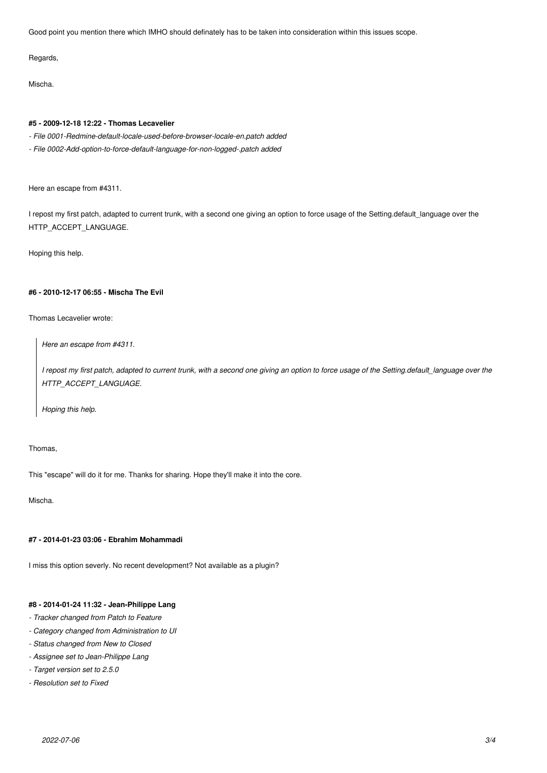Good point you mention there which IMHO should definately has to be taken into consideration within this issues scope.

Regards,

Mischa.

### **#5 - 2009-12-18 12:22 - Thomas Lecavelier**

- *File 0001-Redmine-default-locale-used-before-browser-locale-en.patch added*
- *File 0002-Add-option-to-force-default-language-for-non-logged-.patch added*

Here an escape from #4311.

I repost my first patch, adapted to current trunk, with a second one giving an option to force usage of the Setting.default\_language over the HTTP\_ACCEPT\_LANGUAGE.

Hoping this help.

### **#6 - 2010-12-17 06:55 - Mischa The Evil**

Thomas Lecavelier wrote:

*Here an escape from #4311.*

*I repost my first patch, adapted to current trunk, with a second one giving an option to force usage of the Setting.default\_language over the HTTP\_ACCEPT\_LANGUAGE.*

*Hoping this help.*

### Thomas,

This "escape" will do it for me. Thanks for sharing. Hope they'll make it into the core.

Mischa.

## **#7 - 2014-01-23 03:06 - Ebrahim Mohammadi**

I miss this option severly. No recent development? Not available as a plugin?

### **#8 - 2014-01-24 11:32 - Jean-Philippe Lang**

- *Tracker changed from Patch to Feature*
- *Category changed from Administration to UI*
- *Status changed from New to Closed*
- *Assignee set to Jean-Philippe Lang*
- *Target version set to 2.5.0*
- *Resolution set to Fixed*